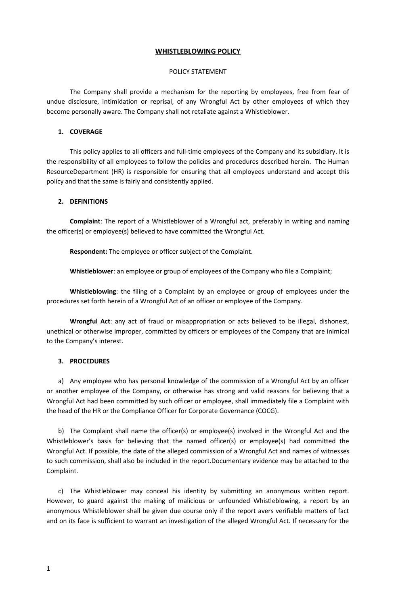# **WHISTLEBLOWING POLICY**

#### POLICY STATEMENT

The Company shall provide a mechanism for the reporting by employees, free from fear of undue disclosure, intimidation or reprisal, of any Wrongful Act by other employees of which they become personally aware. The Company shall not retaliate against a Whistleblower.

### **1. COVERAGE**

This policy applies to all officers and full-time employees of the Company and its subsidiary. It is the responsibility of all employees to follow the policies and procedures described herein. The Human ResourceDepartment (HR) is responsible for ensuring that all employees understand and accept this policy and that the same is fairly and consistently applied.

#### **2. DEFINITIONS**

**Complaint**: The report of a Whistleblower of a Wrongful act, preferably in writing and naming the officer(s) or employee(s) believed to have committed the Wrongful Act.

**Respondent:** The employee or officer subject of the Complaint.

**Whistleblower**: an employee or group of employees of the Company who file a Complaint;

**Whistleblowing**: the filing of a Complaint by an employee or group of employees under the procedures set forth herein of a Wrongful Act of an officer or employee of the Company.

**Wrongful Act**: any act of fraud or misappropriation or acts believed to be illegal, dishonest, unethical or otherwise improper, committed by officers or employees of the Company that are inimical to the Company's interest.

#### **3. PROCEDURES**

a) Any employee who has personal knowledge of the commission of a Wrongful Act by an officer or another employee of the Company, or otherwise has strong and valid reasons for believing that a Wrongful Act had been committed by such officer or employee, shall immediately file a Complaint with the head of the HR or the Compliance Officer for Corporate Governance (COCG).

b) The Complaint shall name the officer(s) or employee(s) involved in the Wrongful Act and the Whistleblower's basis for believing that the named officer(s) or employee(s) had committed the Wrongful Act. If possible, the date of the alleged commission of a Wrongful Act and names of witnesses to such commission, shall also be included in the report.Documentary evidence may be attached to the Complaint.

c) The Whistleblower may conceal his identity by submitting an anonymous written report. However, to guard against the making of malicious or unfounded Whistleblowing, a report by an anonymous Whistleblower shall be given due course only if the report avers verifiable matters of fact and on its face is sufficient to warrant an investigation of the alleged Wrongful Act. If necessary for the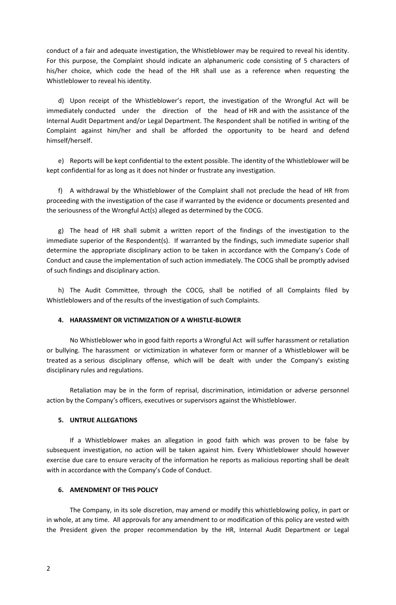conduct of a fair and adequate investigation, the Whistleblower may be required to reveal his identity. For this purpose, the Complaint should indicate an alphanumeric code consisting of 5 characters of his/her choice, which code the head of the HR shall use as a reference when requesting the Whistleblower to reveal his identity.

d) Upon receipt of the Whistleblower's report, the investigation of the Wrongful Act will be immediately conducted under the direction of the head of HR and with the assistance of the Internal Audit Department and/or Legal Department. The Respondent shall be notified in writing of the Complaint against him/her and shall be afforded the opportunity to be heard and defend himself/herself.

e) Reports will be kept confidential to the extent possible. The identity of the Whistleblower will be kept confidential for as long as it does not hinder or frustrate any investigation.

f) A withdrawal by the Whistleblower of the Complaint shall not preclude the head of HR from proceeding with the investigation of the case if warranted by the evidence or documents presented and the seriousness of the Wrongful Act(s) alleged as determined by the COCG.

g) The head of HR shall submit a written report of the findings of the investigation to the immediate superior of the Respondent(s). If warranted by the findings, such immediate superior shall determine the appropriate disciplinary action to be taken in accordance with the Company's Code of Conduct and cause the implementation of such action immediately. The COCG shall be promptly advised of such findings and disciplinary action.

h) The Audit Committee, through the COCG, shall be notified of all Complaints filed by Whistleblowers and of the results of the investigation of such Complaints.

# **4. HARASSMENT OR VICTIMIZATION OF A WHISTLE-BLOWER**

No Whistleblower who in good faith reports a Wrongful Act will suffer harassment or retaliation or bullying. The harassment or victimization in whatever form or manner of a Whistleblower will be treated as a serious disciplinary offense, which will be dealt with under the Company's existing disciplinary rules and regulations.

Retaliation may be in the form of reprisal, discrimination, intimidation or adverse personnel action by the Company's officers, executives or supervisors against the Whistleblower.

## **5. UNTRUE ALLEGATIONS**

If a Whistleblower makes an allegation in good faith which was proven to be false by subsequent investigation, no action will be taken against him. Every Whistleblower should however exercise due care to ensure veracity of the information he reports as malicious reporting shall be dealt with in accordance with the Company's Code of Conduct.

## **6. AMENDMENT OF THIS POLICY**

The Company, in its sole discretion, may amend or modify this whistleblowing policy, in part or in whole, at any time. All approvals for any amendment to or modification of this policy are vested with the President given the proper recommendation by the HR, Internal Audit Department or Legal